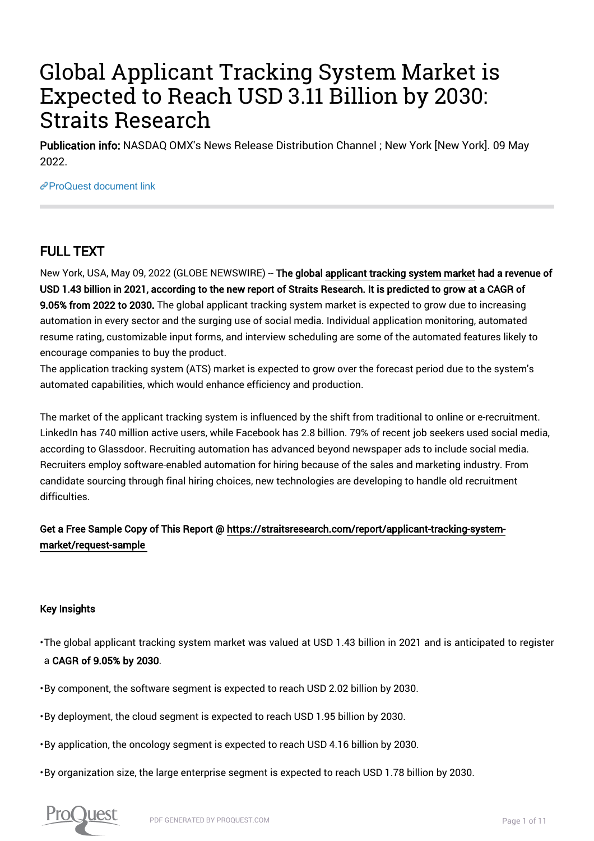# Global Applicant Tracking System Market is Expected to Reach USD 3.11 Billion by 2030: Straits Research

Publication info: NASDAQ OMX's News Release Distribution Channel ; New York [New York]. 09 May 2022.

[ProQuest document link](https://www.proquest.com/wire-feeds/global-applicant-tracking-system-market-is/docview/2661096885/se-2?accountid=44910)

# FULL TEXT

New York, USA, May 09, 2022 (GLOBE NEWSWIRE) -- The global applicant tracking system market had a revenue of USD 1.43 billion in 2021, according to the new report of Straits Research. It is predicted to grow at a CAGR of 9.05% from 2022 to 2030. The global applicant tracking system market is expected to grow due to increasing automation in every sector and the surging use of social media. Individual application monitoring, automated resume rating, customizable input forms, and interview scheduling are some of the automated features likely to encourage companies to buy the product.

The application tracking system (ATS) market is expected to grow over the forecast period due to the system's automated capabilities, which would enhance efficiency and production.

The market of the applicant tracking system is influenced by the shift from traditional to online or e-recruitment. LinkedIn has 740 million active users, while Facebook has 2.8 billion. 79% of recent job seekers used social media, according to Glassdoor. Recruiting automation has advanced beyond newspaper ads to include social media. Recruiters employ software-enabled automation for hiring because of the sales and marketing industry. From candidate sourcing through final hiring choices, new technologies are developing to handle old recruitment difficulties.

# Get a Free Sample Copy of This Report @ https://straitsresearch.com/report/applicant-tracking-systemmarket/request-sample

# Key Insights

• The global applicant tracking system market was valued at USD 1.43 billion in 2021 and is anticipated to register a CAGR of 9.05% by 2030.

• By component, the software segment is expected to reach USD 2.02 billion by 2030.

• By deployment, the cloud segment is expected to reach USD 1.95 billion by 2030.

• By application, the oncology segment is expected to reach USD 4.16 billion by 2030.

• By organization size, the large enterprise segment is expected to reach USD 1.78 billion by 2030.

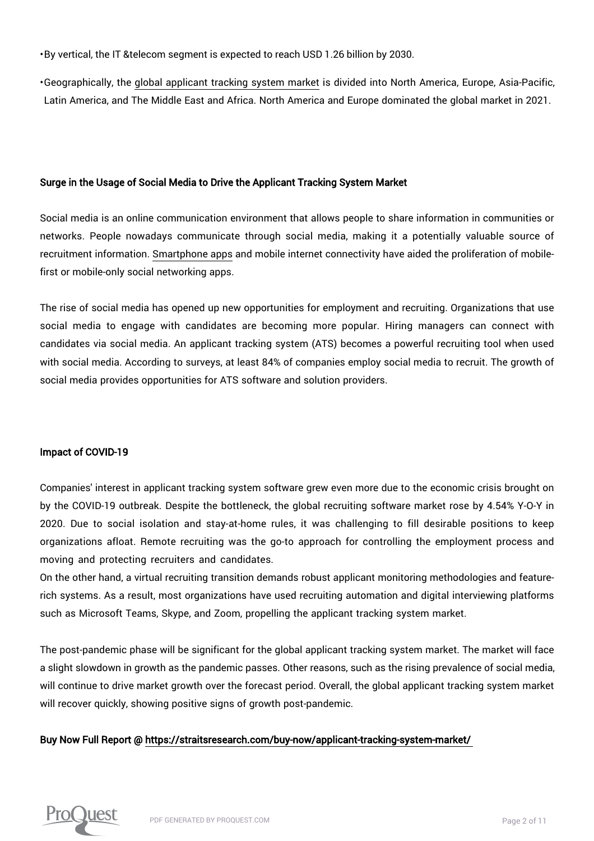• By vertical, the IT &telecom segment is expected to reach USD 1.26 billion by 2030.

• Geographically, the global applicant tracking system market is divided into North America, Europe, Asia-Pacific, Latin America, and The Middle East and Africa. North America and Europe dominated the global market in 2021.

#### Surge in the Usage of Social Media to Drive the Applicant Tracking System Market

Social media is an online communication environment that allows people to share information in communities or networks. People nowadays communicate through social media, making it a potentially valuable source of recruitment information. Smartphone apps and mobile internet connectivity have aided the proliferation of mobilefirst or mobile-only social networking apps.

The rise of social media has opened up new opportunities for employment and recruiting. Organizations that use social media to engage with candidates are becoming more popular. Hiring managers can connect with candidates via social media. An applicant tracking system (ATS) becomes a powerful recruiting tool when used with social media. According to surveys, at least 84% of companies employ social media to recruit. The growth of social media provides opportunities for ATS software and solution providers.

#### Impact of COVID-19

Companies' interest in applicant tracking system software grew even more due to the economic crisis brought on by the COVID-19 outbreak. Despite the bottleneck, the global recruiting software market rose by 4.54% Y-O-Y in 2020. Due to social isolation and stay-at-home rules, it was challenging to fill desirable positions to keep organizations afloat. Remote recruiting was the go-to approach for controlling the employment process and moving and protecting recruiters and candidates.

On the other hand, a virtual recruiting transition demands robust applicant monitoring methodologies and featurerich systems. As a result, most organizations have used recruiting automation and digital interviewing platforms such as Microsoft Teams, Skype, and Zoom, propelling the applicant tracking system market.

The post-pandemic phase will be significant for the global applicant tracking system market. The market will face a slight slowdown in growth as the pandemic passes. Other reasons, such as the rising prevalence of social media, will continue to drive market growth over the forecast period. Overall, the global applicant tracking system market will recover quickly, showing positive signs of growth post-pandemic.

#### Buy Now Full Report @ https://straitsresearch.com/buy-now/applicant-tracking-system-market/

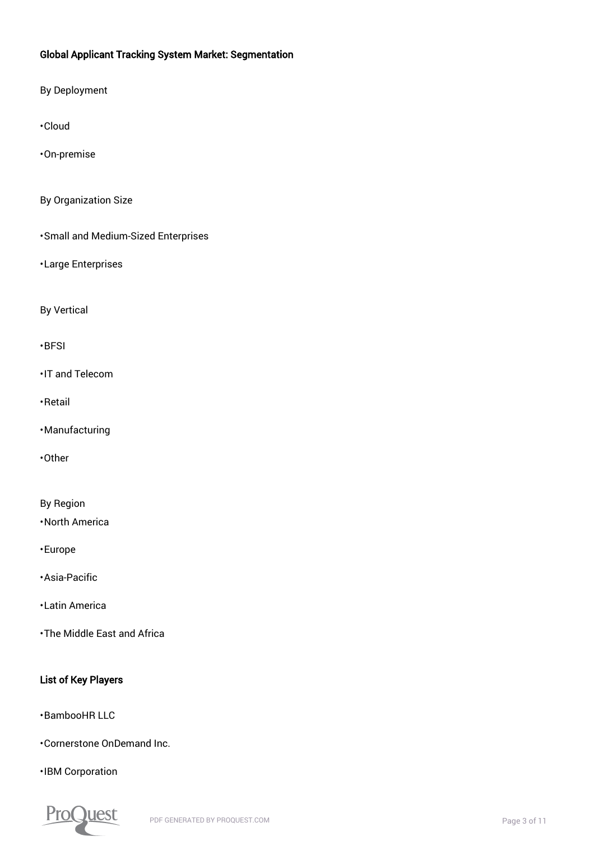## Global Applicant Tracking System Market: Segmentation

By Deployment

• Cloud

• On-premise

By Organization Size

• Small and Medium-Sized Enterprises

• Large Enterprises

By Vertical

#### • BFSI

• IT and Telecom

• Retail

• Manufacturing

• Other

By Region

• North America

• Europe

• Asia-Pacific

• Latin America

• The Middle East and Africa

### List of Key Players

• BambooHR LLC

• Cornerstone OnDemand Inc.

• IBM Corporation

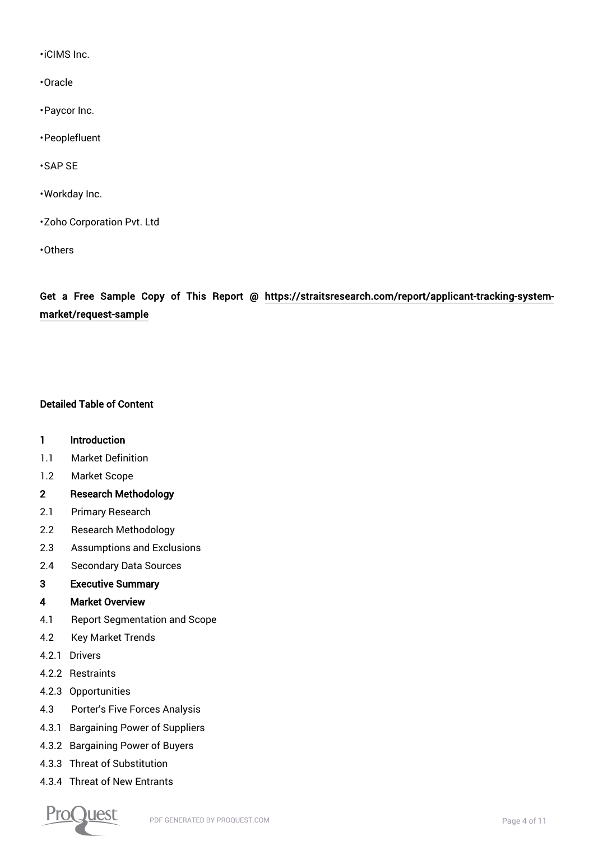• iCIMS Inc.

- Oracle
- Paycor Inc.
- Peoplefluent
- SAP SE
- Workday Inc.
- Zoho Corporation Pvt. Ltd
- Others

Get a Free Sample Copy of This Report @ https://straitsresearch.com/report/applicant-tracking-systemmarket/request-sample

#### Detailed Table of Content

#### 1 Introduction

- 1.1 Market Definition
- 1.2 Market Scope

#### 2 Research Methodology

- 2.1 Primary Research
- 2.2 Research Methodology
- 2.3 Assumptions and Exclusions
- 2.4 Secondary Data Sources

#### 3 Executive Summary

#### 4 Market Overview

- 4.1 Report Segmentation and Scope
- 4.2 Key Market Trends
- 4.2.1 Drivers
- 4.2.2 Restraints
- 4.2.3 Opportunities
- 4.3 Porter's Five Forces Analysis
- 4.3.1 Bargaining Power of Suppliers
- 4.3.2 Bargaining Power of Buyers
- 4.3.3 Threat of Substitution
- 4.3.4 Threat of New Entrants

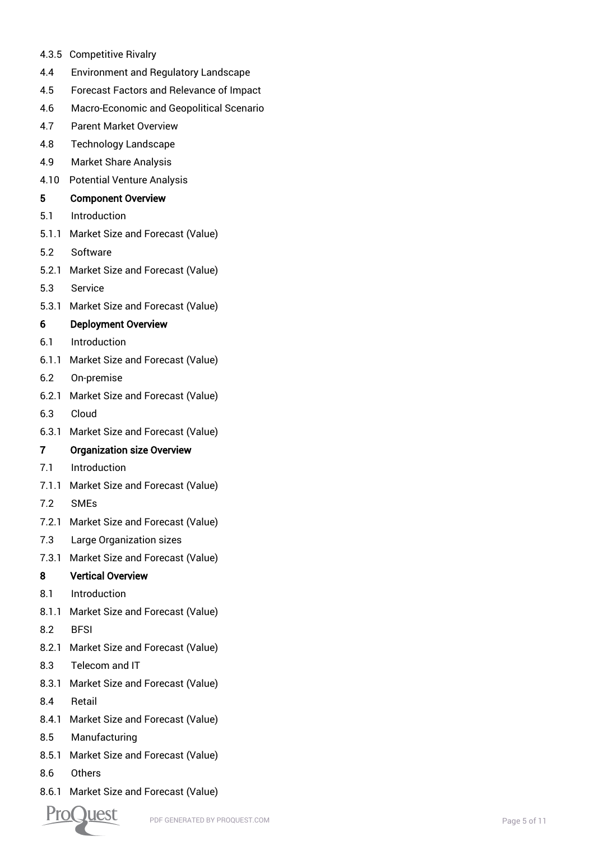- 4.3.5 Competitive Rivalry
- 4.4 Environment and Regulatory Landscape
- 4.5 Forecast Factors and Relevance of Impact
- 4.6 Macro-Economic and Geopolitical Scenario
- 4.7 Parent Market Overview
- 4.8 Technology Landscape
- 4.9 Market Share Analysis
- 4.10 Potential Venture Analysis

#### 5 Component Overview

- 5.1 Introduction
- 5.1.1 Market Size and Forecast (Value)
- 5.2 Software
- 5.2.1 Market Size and Forecast (Value)
- 5.3 Service
- 5.3.1 Market Size and Forecast (Value)

#### 6 Deployment Overview

- 6.1 Introduction
- 6.1.1 Market Size and Forecast (Value)
- 6.2 On-premise
- 6.2.1 Market Size and Forecast (Value)
- 6.3 Cloud
- 6.3.1 Market Size and Forecast (Value)

#### 7 Organization size Overview

- 7.1 Introduction
- 7.1.1 Market Size and Forecast (Value)
- 7.2 SMEs
- 7.2.1 Market Size and Forecast (Value)
- 7.3 Large Organization sizes
- 7.3.1 Market Size and Forecast (Value)

#### 8 Vertical Overview

- 8.1 Introduction
- 8.1.1 Market Size and Forecast (Value)
- 8.2 BFSI
- 8.2.1 Market Size and Forecast (Value)
- 8.3 Telecom and IT
- 8.3.1 Market Size and Forecast (Value)
- 8.4 Retail
- 8.4.1 Market Size and Forecast (Value)
- 8.5 Manufacturing
- 8.5.1 Market Size and Forecast (Value)
- 8.6 Others
- 8.6.1 Market Size and Forecast (Value)

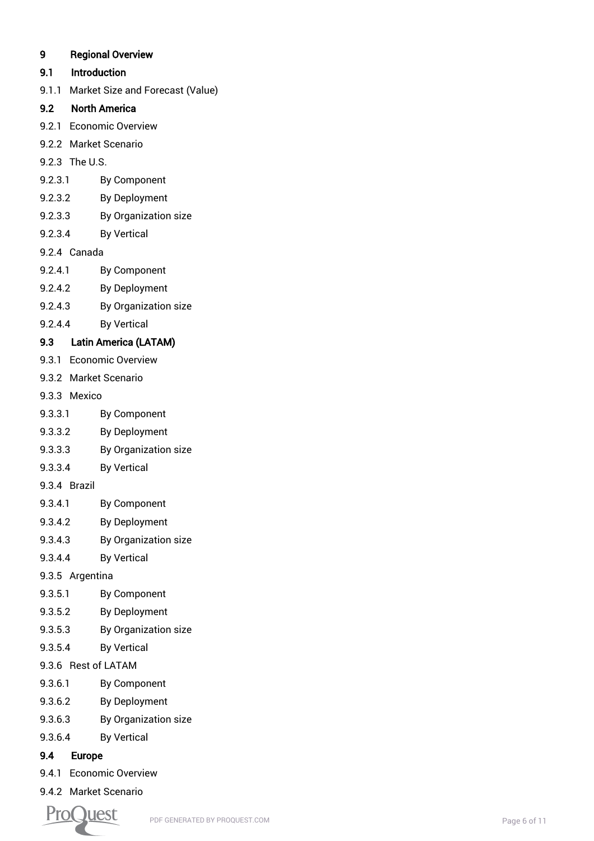# 9 Regional Overview

# 9.1 Introduction

9.1.1 Market Size and Forecast (Value)

# 9.2 North America

- 9.2.1 Economic Overview
- 9.2.2 Market Scenario
- 9.2.3 The U.S.
- 9.2.3.1 By Component
- 9.2.3.2 By Deployment
- 9.2.3.3 By Organization size
- 9.2.3.4 By Vertical
- 9.2.4 Canada
- 9.2.4.1 By Component
- 9.2.4.2 By Deployment
- 9.2.4.3 By Organization size
- 9.2.4.4 By Vertical

# 9.3 Latin America (LATAM)

- 9.3.1 Economic Overview
- 9.3.2 Market Scenario
- 9.3.3 Mexico
- 9.3.3.1 By Component
- 9.3.3.2 By Deployment
- 9.3.3.3 By Organization size
- 9.3.3.4 By Vertical
- 9.3.4 Brazil
- 9.3.4.1 By Component
- 9.3.4.2 By Deployment
- 9.3.4.3 By Organization size
- 9.3.4.4 By Vertical
- 9.3.5 Argentina
- 9.3.5.1 By Component
- 9.3.5.2 By Deployment
- 9.3.5.3 By Organization size
- 9.3.5.4 By Vertical
- 9.3.6 Rest of LATAM
- 9.3.6.1 By Component
- 9.3.6.2 By Deployment
- 9.3.6.3 By Organization size
- 9.3.6.4 By Vertical

# 9.4 Europe

- 9.4.1 Economic Overview
- 9.4.2 Market Scenario

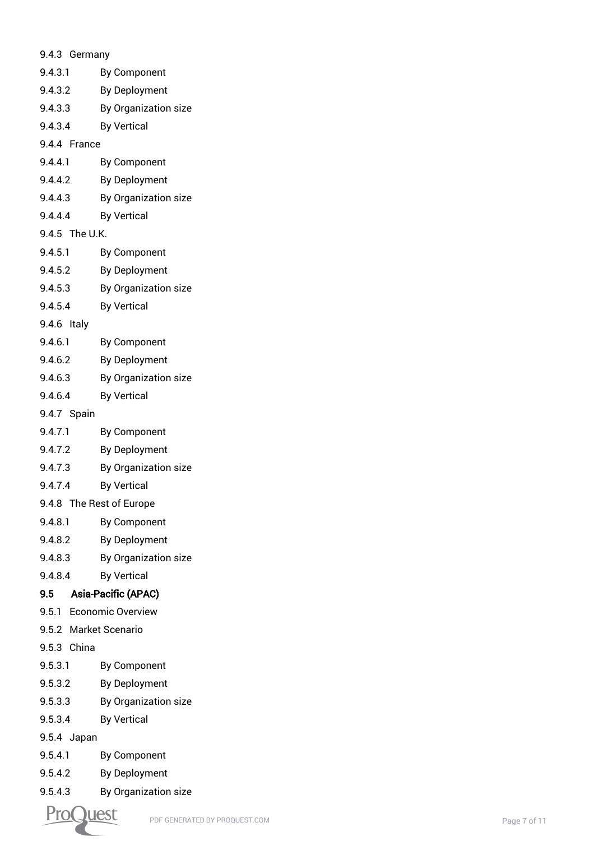| 9.4.3 Germany            |                          |  |
|--------------------------|--------------------------|--|
| 9.4.3.1                  | <b>By Component</b>      |  |
| 9.4.3.2                  | <b>By Deployment</b>     |  |
| 9.4.3.3                  | By Organization size     |  |
| 9.4.3.4                  | <b>By Vertical</b>       |  |
| 9.4.4 France             |                          |  |
| 9.4.4.1                  | <b>By Component</b>      |  |
| 9.4.4.2                  | <b>By Deployment</b>     |  |
| 9.4.4.3                  | By Organization size     |  |
| 9.4.4.4                  | <b>By Vertical</b>       |  |
| 9.4.5 The U.K.           |                          |  |
| 9.4.5.1                  | <b>By Component</b>      |  |
| 9.4.5.2                  | <b>By Deployment</b>     |  |
| 9.4.5.3                  | By Organization size     |  |
| 9.4.5.4                  | <b>By Vertical</b>       |  |
| 9.4.6 Italy              |                          |  |
| 9.4.6.1                  | <b>By Component</b>      |  |
| 9.4.6.2                  | <b>By Deployment</b>     |  |
| 9.4.6.3                  | By Organization size     |  |
| 9.4.6.4                  | <b>By Vertical</b>       |  |
| 9.4.7 Spain              |                          |  |
| 9.4.7.1                  | <b>By Component</b>      |  |
| 9.4.7.2                  | <b>By Deployment</b>     |  |
| 9.4.7.3                  | By Organization size     |  |
| 9.4.7.4                  | <b>By Vertical</b>       |  |
| 9.4.8 The Rest of Europe |                          |  |
| 9.4.8.1                  | <b>By Component</b>      |  |
| 9.4.8.2                  | <b>By Deployment</b>     |  |
| 9.4.8.3                  | By Organization size     |  |
| 9.4.8.4                  | <b>By Vertical</b>       |  |
| 9.5                      | Asia-Pacific (APAC)      |  |
| 9.5.1                    | <b>Economic Overview</b> |  |
| 9.5.2 Market Scenario    |                          |  |
| 9.5.3 China              |                          |  |
| 9.5.3.1                  | <b>By Component</b>      |  |
| 9.5.3.2                  | <b>By Deployment</b>     |  |
| 9.5.3.3                  | By Organization size     |  |
| 9.5.3.4                  | <b>By Vertical</b>       |  |
| 9.5.4 Japan              |                          |  |
| 9.5.4.1                  | <b>By Component</b>      |  |
| 9.5.4.2                  | <b>By Deployment</b>     |  |
| 9.5.4.3                  | By Organization size     |  |
|                          |                          |  |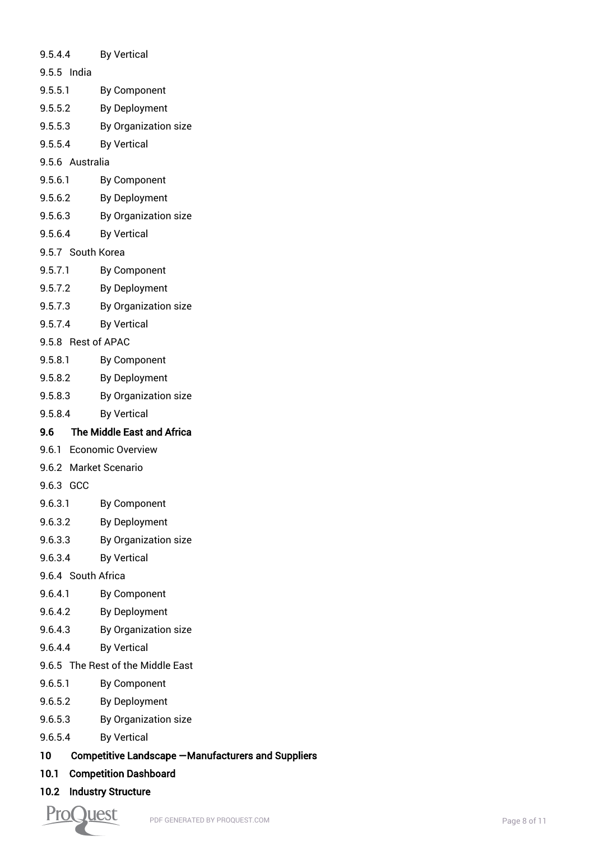- 9.5.4.4 By Vertical 9.5.5 India 9.5.5.1 By Component 9.5.5.2 By Deployment 9.5.5.3 By Organization size 9.5.5.4 By Vertical 9.5.6 Australia 9.5.6.1 By Component
- 9.5.6.2 By Deployment
- 9.5.6.3 By Organization size
- 9.5.6.4 By Vertical
- 9.5.7 South Korea
- 9.5.7.1 By Component
- 9.5.7.2 By Deployment
- 9.5.7.3 By Organization size
- 9.5.7.4 By Vertical
- 9.5.8 Rest of APAC
- 9.5.8.1 By Component
- 9.5.8.2 By Deployment
- 9.5.8.3 By Organization size
- 9.5.8.4 By Vertical

# 9.6 The Middle East and Africa

- 9.6.1 Economic Overview
- 9.6.2 Market Scenario
- 9.6.3 GCC
- 9.6.3.1 By Component
- 9.6.3.2 By Deployment
- 9.6.3.3 By Organization size
- 9.6.3.4 By Vertical
- 9.6.4 South Africa
- 9.6.4.1 By Component
- 9.6.4.2 By Deployment
- 9.6.4.3 By Organization size
- 9.6.4.4 By Vertical
- 9.6.5 The Rest of the Middle East
- 9.6.5.1 By Component
- 9.6.5.2 By Deployment
- 9.6.5.3 By Organization size
- 9.6.5.4 By Vertical
- 10 Competitive Landscape —Manufacturers and Suppliers
- 10.1 Competition Dashboard
- 10.2 Industry Structure

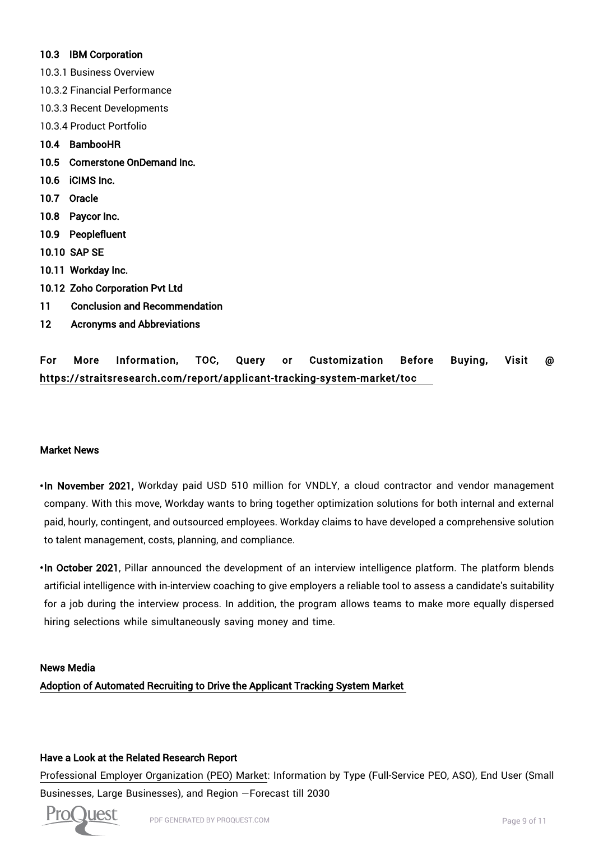#### 10.3 IBM Corporation

- 10.3.1 Business Overview
- 10.3.2 Financial Performance
- 10.3.3 Recent Developments
- 10.3.4 Product Portfolio
- 10.4 BambooHR
- 10.5 Cornerstone OnDemand Inc.
- 10.6 iCIMS Inc.
- 10.7 Oracle
- 10.8 Paycor Inc.
- 10.9 Peoplefluent
- 10.10 SAP SE
- 10.11 Workday Inc.
- 10.12 Zoho Corporation Pvt Ltd
- 11 Conclusion and Recommendation
- 12 Acronyms and Abbreviations

# For More Information, TOC, Query or Customization Before Buying, Visit @ https://straitsresearch.com/report/applicant-tracking-system-market/toc

#### Market News

- In November 2021, Workday paid USD 510 million for VNDLY, a cloud contractor and vendor management company. With this move, Workday wants to bring together optimization solutions for both internal and external paid, hourly, contingent, and outsourced employees. Workday claims to have developed a comprehensive solution to talent management, costs, planning, and compliance.
- In October 2021, Pillar announced the development of an interview intelligence platform. The platform blends artificial intelligence with in-interview coaching to give employers a reliable tool to assess a candidate's suitability for a job during the interview process. In addition, the program allows teams to make more equally dispersed hiring selections while simultaneously saving money and time.

#### News Media

Adoption of Automated Recruiting to Drive the Applicant Tracking System Market

#### Have a Look at the Related Research Report

Professional Employer Organization (PEO) Market: Information by Type (Full-Service PEO, ASO), End User (Small Businesses, Large Businesses), and Region —Forecast till 2030

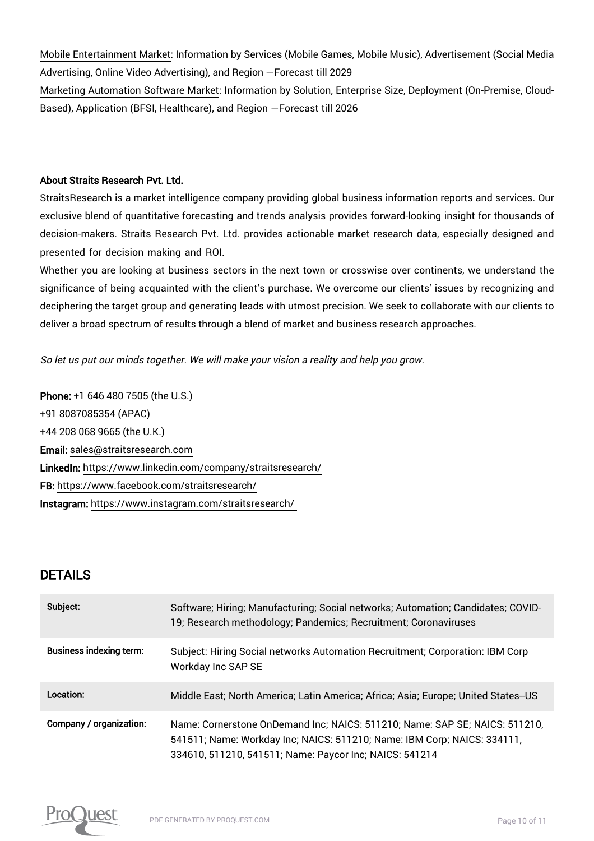Mobile Entertainment Market: Information by Services (Mobile Games, Mobile Music), Advertisement (Social Media Advertising, Online Video Advertising), and Region —Forecast till 2029 Marketing Automation Software Market: Information by Solution, Enterprise Size, Deployment (On-Premise, Cloud-Based), Application (BFSI, Healthcare), and Region —Forecast till 2026

#### About Straits Research Pvt. Ltd.

StraitsResearch is a market intelligence company providing global business information reports and services. Our exclusive blend of quantitative forecasting and trends analysis provides forward-looking insight for thousands of decision-makers. Straits Research Pvt. Ltd. provides actionable market research data, especially designed and presented for decision making and ROI.

Whether you are looking at business sectors in the next town or crosswise over continents, we understand the significance of being acquainted with the client's purchase. We overcome our clients' issues by recognizing and deciphering the target group and generating leads with utmost precision. We seek to collaborate with our clients to deliver a broad spectrum of results through a blend of market and business research approaches.

So let us put our minds together. We will make your vision a reality and help you grow.

Phone: +1 646 480 7505 (the U.S.) +91 8087085354 (APAC) +44 208 068 9665 (the U.K.) Email: sales@straitsresearch.com LinkedIn: https://www.linkedin.com/company/straitsresearch/ FB: https://www.facebook.com/straitsresearch/ Instagram: https://www.instagram.com/straitsresearch/

# DETAILS

| Subject:                       | Software; Hiring; Manufacturing; Social networks; Automation; Candidates; COVID-<br>19; Research methodology; Pandemics; Recruitment; Coronaviruses                                                                |
|--------------------------------|--------------------------------------------------------------------------------------------------------------------------------------------------------------------------------------------------------------------|
| <b>Business indexing term:</b> | Subject: Hiring Social networks Automation Recruitment; Corporation: IBM Corp<br>Workday Inc SAP SE                                                                                                                |
| Location:                      | Middle East; North America; Latin America; Africa; Asia; Europe; United States--US                                                                                                                                 |
| Company / organization:        | Name: Cornerstone OnDemand Inc; NAICS: 511210; Name: SAP SE; NAICS: 511210,<br>541511; Name: Workday Inc; NAICS: 511210; Name: IBM Corp; NAICS: 334111,<br>334610, 511210, 541511; Name: Paycor Inc; NAICS: 541214 |